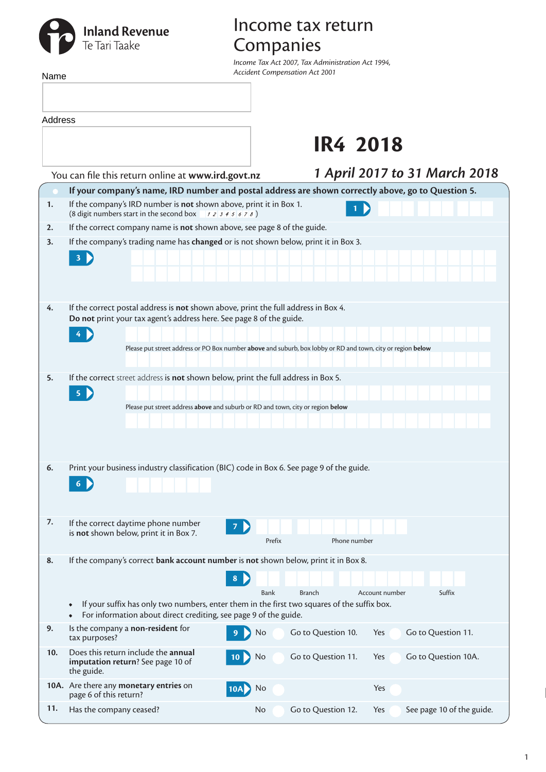# **Inland Revenue**<br>Te Tari Taake

## Income tax return Companies

*Income Tax Act 2007, Tax Administration Act 1994, Accident Compensation Act 2001*

| Name    |                                                                                                                                                                                                                                                                          | Accident Compensation Act 2001                                                                              |  |  |  |  |  |
|---------|--------------------------------------------------------------------------------------------------------------------------------------------------------------------------------------------------------------------------------------------------------------------------|-------------------------------------------------------------------------------------------------------------|--|--|--|--|--|
|         |                                                                                                                                                                                                                                                                          |                                                                                                             |  |  |  |  |  |
| Address |                                                                                                                                                                                                                                                                          |                                                                                                             |  |  |  |  |  |
|         |                                                                                                                                                                                                                                                                          | <b>IR4 2018</b>                                                                                             |  |  |  |  |  |
|         | You can file this return online at www.ird.govt.nz                                                                                                                                                                                                                       | 1 April 2017 to 31 March 2018                                                                               |  |  |  |  |  |
|         |                                                                                                                                                                                                                                                                          | If your company's name, IRD number and postal address are shown correctly above, go to Question 5.          |  |  |  |  |  |
| 1.      | If the company's IRD number is not shown above, print it in Box 1.<br>(8 digit numbers start in the second box $\rightarrow$ 1 2 3 4 5 6 7 8)                                                                                                                            | 1                                                                                                           |  |  |  |  |  |
| 2.      | If the correct company name is not shown above, see page 8 of the guide.                                                                                                                                                                                                 |                                                                                                             |  |  |  |  |  |
| 3.      | If the company's trading name has changed or is not shown below, print it in Box 3.<br>3                                                                                                                                                                                 |                                                                                                             |  |  |  |  |  |
| 4.      | If the correct postal address is not shown above, print the full address in Box 4.<br>Do not print your tax agent's address here. See page 8 of the guide.                                                                                                               |                                                                                                             |  |  |  |  |  |
|         |                                                                                                                                                                                                                                                                          |                                                                                                             |  |  |  |  |  |
|         |                                                                                                                                                                                                                                                                          | Please put street address or PO Box number above and suburb, box lobby or RD and town, city or region below |  |  |  |  |  |
| 5.      | If the correct street address is not shown below, print the full address in Box 5.<br>$\overline{\mathbf{5}}$<br>Please put street address above and suburb or RD and town, city or region below                                                                         |                                                                                                             |  |  |  |  |  |
| 6.      | Print your business industry classification (BIC) code in Box 6. See page 9 of the guide.<br>6                                                                                                                                                                           |                                                                                                             |  |  |  |  |  |
| 7.      | If the correct daytime phone number<br>$\mathcal{I}$<br>is not shown below, print it in Box 7.                                                                                                                                                                           | Prefix<br>Phone number                                                                                      |  |  |  |  |  |
| 8.      | If the company's correct bank account number is not shown below, print it in Box 8.<br>8<br>If your suffix has only two numbers, enter them in the first two squares of the suffix box.<br>$\bullet$<br>For information about direct crediting, see page 9 of the guide. | <b>Bank</b><br><b>Branch</b><br>Account number<br>Suffix                                                    |  |  |  |  |  |
| 9.      | Is the company a non-resident for<br>9<br>tax purposes?                                                                                                                                                                                                                  | Go to Question 10.<br>Go to Question 11.<br>No<br>Yes                                                       |  |  |  |  |  |
| 10.     | Does this return include the annual<br>imputation return? See page 10 of<br>the guide.                                                                                                                                                                                   | Go to Question 11.<br>Go to Question 10A.<br>Yes<br>No                                                      |  |  |  |  |  |
|         | 10A. Are there any monetary entries on<br><b>10A</b><br>page 6 of this return?                                                                                                                                                                                           | No<br>Yes                                                                                                   |  |  |  |  |  |
| 11.     | Has the company ceased?                                                                                                                                                                                                                                                  | Go to Question 12.<br>See page 10 of the guide.<br>No<br>Yes                                                |  |  |  |  |  |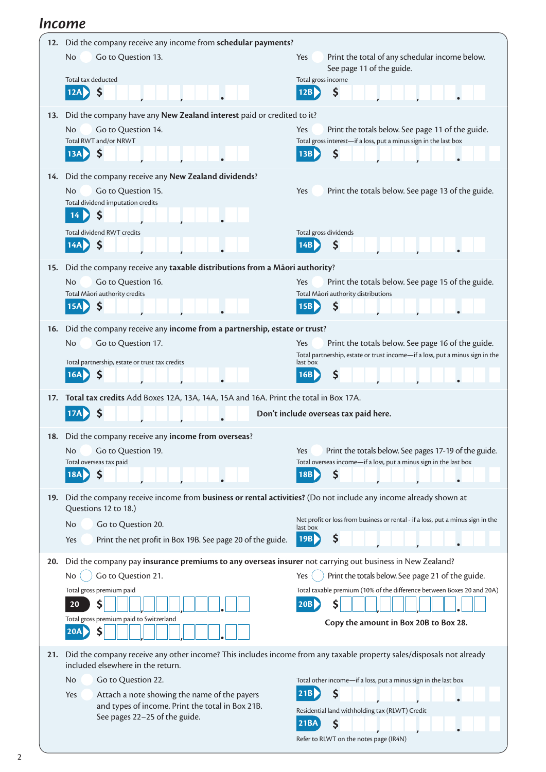#### *Income*

| 12. | Did the company receive any income from schedular payments?                                                          |                                                                                                                                          |  |  |  |  |  |
|-----|----------------------------------------------------------------------------------------------------------------------|------------------------------------------------------------------------------------------------------------------------------------------|--|--|--|--|--|
|     | <b>No</b><br>Go to Question 13.<br>Total tax deducted                                                                | Yes<br>Print the total of any schedular income below.<br>See page 11 of the guide.                                                       |  |  |  |  |  |
|     | \$<br>12A                                                                                                            | Total gross income<br>\$<br>12B                                                                                                          |  |  |  |  |  |
|     |                                                                                                                      |                                                                                                                                          |  |  |  |  |  |
| 13. | Did the company have any New Zealand interest paid or credited to it?<br>Go to Question 14.<br>No                    | Yes<br>Print the totals below. See page 11 of the guide.                                                                                 |  |  |  |  |  |
|     | Total RWT and/or NRWT                                                                                                | Total gross interest-if a loss, put a minus sign in the last box                                                                         |  |  |  |  |  |
|     | $\boldsymbol{\zeta}$<br>13AD                                                                                         | \$<br>13B                                                                                                                                |  |  |  |  |  |
| 14. | Did the company receive any New Zealand dividends?                                                                   |                                                                                                                                          |  |  |  |  |  |
|     | <b>No</b><br>Go to Question 15.                                                                                      | Yes<br>Print the totals below. See page 13 of the guide.                                                                                 |  |  |  |  |  |
|     | Total dividend imputation credits                                                                                    |                                                                                                                                          |  |  |  |  |  |
|     | \$<br>14 <sup>1</sup>                                                                                                |                                                                                                                                          |  |  |  |  |  |
|     | Total dividend RWT credits                                                                                           | Total gross dividends                                                                                                                    |  |  |  |  |  |
|     | \$<br>14AD                                                                                                           | \$<br>14B                                                                                                                                |  |  |  |  |  |
| 15. | Did the company receive any taxable distributions from a Māori authority?                                            |                                                                                                                                          |  |  |  |  |  |
|     | Go to Question 16.<br>No                                                                                             | Yes<br>Print the totals below. See page 15 of the guide.                                                                                 |  |  |  |  |  |
|     | Total Māori authority credits<br>\$<br><b>15AD</b>                                                                   | Total Māori authority distributions<br>\$<br>15B                                                                                         |  |  |  |  |  |
|     |                                                                                                                      |                                                                                                                                          |  |  |  |  |  |
| 16. | Did the company receive any income from a partnership, estate or trust?                                              |                                                                                                                                          |  |  |  |  |  |
|     | <b>No</b><br>Go to Question 17.                                                                                      | Print the totals below. See page 16 of the guide.<br>Yes<br>Total partnership, estate or trust income-if a loss, put a minus sign in the |  |  |  |  |  |
|     | Total partnership, estate or trust tax credits<br>16A                                                                | last box<br>\$<br>16B                                                                                                                    |  |  |  |  |  |
|     |                                                                                                                      |                                                                                                                                          |  |  |  |  |  |
|     | Total tax credits Add Boxes 12A, 13A, 14A, 15A and 16A. Print the total in Box 17A.                                  |                                                                                                                                          |  |  |  |  |  |
| 17. |                                                                                                                      |                                                                                                                                          |  |  |  |  |  |
|     |                                                                                                                      | Don't include overseas tax paid here.                                                                                                    |  |  |  |  |  |
|     | 18. Did the company receive any income from overseas?                                                                |                                                                                                                                          |  |  |  |  |  |
|     | <b>No</b><br>Go to Question 19.                                                                                      | Print the totals below. See pages 17-19 of the guide.<br>Yes                                                                             |  |  |  |  |  |
|     | Total overseas tax paid                                                                                              | Total overseas income-if a loss, put a minus sign in the last box                                                                        |  |  |  |  |  |
|     | 18A<br>\$                                                                                                            | 18B<br>Ş                                                                                                                                 |  |  |  |  |  |
| 19. | Did the company receive income from business or rental activities? (Do not include any income already shown at       |                                                                                                                                          |  |  |  |  |  |
|     | Questions 12 to 18.)<br>No                                                                                           | Net profit or loss from business or rental - if a loss, put a minus sign in the                                                          |  |  |  |  |  |
|     | Go to Question 20.<br>Yes<br>Print the net profit in Box 19B. See page 20 of the guide.                              | last box<br>\$<br>19B                                                                                                                    |  |  |  |  |  |
|     |                                                                                                                      |                                                                                                                                          |  |  |  |  |  |
| 20. | Did the company pay insurance premiums to any overseas insurer not carrying out business in New Zealand?             |                                                                                                                                          |  |  |  |  |  |
|     | Go to Question 21.<br>No.                                                                                            | Print the totals below. See page 21 of the guide.<br>Yes<br>Total taxable premium (10% of the difference between Boxes 20 and 20A)       |  |  |  |  |  |
|     | Total gross premium paid<br>\$<br>20                                                                                 | 20B <br>S                                                                                                                                |  |  |  |  |  |
|     | Total gross premium paid to Switzerland                                                                              |                                                                                                                                          |  |  |  |  |  |
|     | \$<br>20A                                                                                                            | Copy the amount in Box 20B to Box 28.                                                                                                    |  |  |  |  |  |
| 21. | Did the company receive any other income? This includes income from any taxable property sales/disposals not already |                                                                                                                                          |  |  |  |  |  |
|     | included elsewhere in the return.                                                                                    |                                                                                                                                          |  |  |  |  |  |
|     | Go to Question 22.<br>No                                                                                             | Total other income-if a loss, put a minus sign in the last box                                                                           |  |  |  |  |  |
|     | Attach a note showing the name of the payers<br>Yes<br>and types of income. Print the total in Box 21B.              | \$<br>21B                                                                                                                                |  |  |  |  |  |
|     | See pages 22-25 of the guide.                                                                                        | Residential land withholding tax (RLWT) Credit<br>\$<br><b>21BA</b>                                                                      |  |  |  |  |  |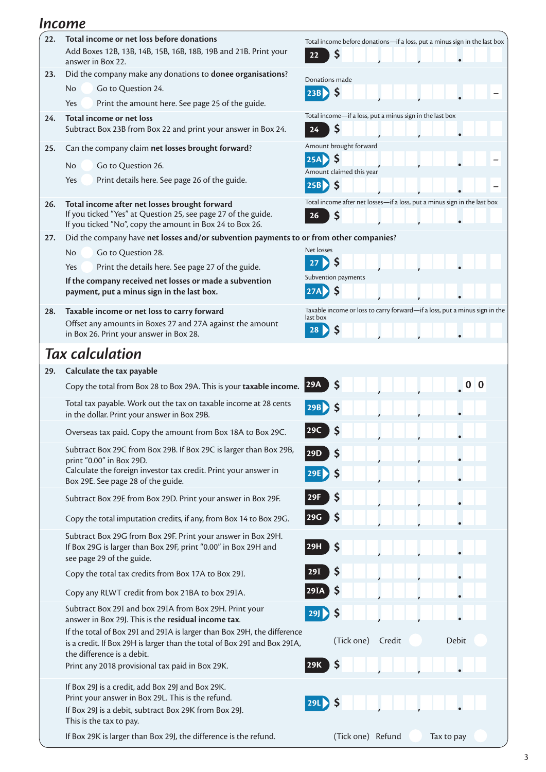#### *Income*

| 22. | Total income or net loss before donations                                                                                                          | Total income before donations-if a loss, put a minus sign in the last box              |
|-----|----------------------------------------------------------------------------------------------------------------------------------------------------|----------------------------------------------------------------------------------------|
|     | Add Boxes 12B, 13B, 14B, 15B, 16B, 18B, 19B and 21B. Print your<br>answer in Box 22.                                                               | \$<br>22                                                                               |
| 23. | Did the company make any donations to donee organisations?                                                                                         | Donations made                                                                         |
|     | Go to Question 24.<br>No.                                                                                                                          | $\mathsf{\$}$<br>23B)                                                                  |
|     | Yes<br>Print the amount here. See page 25 of the guide.                                                                                            |                                                                                        |
| 24. | Total income or net loss                                                                                                                           | Total income-if a loss, put a minus sign in the last box                               |
|     | Subtract Box 23B from Box 22 and print your answer in Box 24.                                                                                      | \$<br>24                                                                               |
| 25. | Can the company claim net losses brought forward?                                                                                                  | Amount brought forward                                                                 |
|     | Go to Question 26.<br>No.                                                                                                                          | \$<br>25A                                                                              |
|     | Yes<br>Print details here. See page 26 of the guide.                                                                                               | Amount claimed this year                                                               |
|     |                                                                                                                                                    | $25B$ $\left\{\right\}$ \$                                                             |
| 26. | Total income after net losses brought forward                                                                                                      | Total income after net losses-if a loss, put a minus sign in the last box              |
|     | If you ticked "Yes" at Question 25, see page 27 of the guide.                                                                                      | \$<br>26                                                                               |
|     | If you ticked "No", copy the amount in Box 24 to Box 26.<br>Did the company have net losses and/or subvention payments to or from other companies? |                                                                                        |
| 27. |                                                                                                                                                    | Net losses                                                                             |
|     | <b>No</b><br>Go to Question 28.                                                                                                                    | Ş<br>27                                                                                |
|     | Print the details here. See page 27 of the guide.<br>Yes                                                                                           | Subvention payments                                                                    |
|     | If the company received net losses or made a subvention<br>payment, put a minus sign in the last box.                                              | $\zeta$<br>$ 27A\rangle$                                                               |
|     |                                                                                                                                                    |                                                                                        |
| 28. | Taxable income or net loss to carry forward                                                                                                        | Taxable income or loss to carry forward-if a loss, put a minus sign in the<br>last box |
|     | Offset any amounts in Boxes 27 and 27A against the amount<br>in Box 26. Print your answer in Box 28.                                               | <b>S</b><br>28                                                                         |
|     |                                                                                                                                                    |                                                                                        |
|     | <b>Tax calculation</b>                                                                                                                             |                                                                                        |
| 29. | Calculate the tax payable                                                                                                                          |                                                                                        |
|     | Copy the total from Box 28 to Box 29A. This is your taxable income. 29A                                                                            |                                                                                        |
|     | Total tax payable. Work out the tax on taxable income at 28 cents<br>in the dollar. Print your answer in Box 29B.                                  |                                                                                        |
|     | Overseas tax paid. Copy the amount from Box 18A to Box 29C.                                                                                        |                                                                                        |
|     | Subtract Box 29C from Box 29B. If Box 29C is larger than Box 29B,                                                                                  | 29D <br>S                                                                              |
|     | print "0.00" in Box 29D.                                                                                                                           |                                                                                        |
|     | Calculate the foreign investor tax credit. Print your answer in<br>Box 29E. See page 28 of the guide.                                              |                                                                                        |
|     | Subtract Box 29E from Box 29D. Print your answer in Box 29F.                                                                                       | \$                                                                                     |
|     |                                                                                                                                                    | \$<br> 29G                                                                             |
|     | Copy the total imputation credits, if any, from Box 14 to Box 29G.                                                                                 |                                                                                        |
|     | Subtract Box 29G from Box 29F. Print your answer in Box 29H.<br>If Box 29G is larger than Box 29F, print "0.00" in Box 29H and                     | \$<br>29H                                                                              |
|     | see page 29 of the guide.                                                                                                                          |                                                                                        |
|     | Copy the total tax credits from Box 17A to Box 29I.                                                                                                | \$<br>29I                                                                              |
|     | Copy any RLWT credit from box 21BA to box 29IA.                                                                                                    | \$<br>29IA                                                                             |
|     | Subtract Box 29I and box 29IA from Box 29H. Print your                                                                                             | \$<br>29                                                                               |
|     | answer in Box 29J. This is the residual income tax.                                                                                                |                                                                                        |
|     | If the total of Box 29I and 29IA is larger than Box 29H, the difference                                                                            | Debit<br>(Tick one)<br>Credit                                                          |
|     | is a credit. If Box 29H is larger than the total of Box 29I and Box 29IA,<br>the difference is a debit.                                            |                                                                                        |
|     | Print any 2018 provisional tax paid in Box 29K.                                                                                                    | Ş<br>29K                                                                               |
|     |                                                                                                                                                    |                                                                                        |
|     | If Box 29J is a credit, add Box 29J and Box 29K.<br>Print your answer in Box 29L. This is the refund.                                              |                                                                                        |
|     | If Box 29J is a debit, subtract Box 29K from Box 29J.                                                                                              | 29L<br>$\boldsymbol{\zeta}$                                                            |
|     | This is the tax to pay.                                                                                                                            |                                                                                        |
|     | If Box 29K is larger than Box 29J, the difference is the refund.                                                                                   | (Tick one) Refund<br>Tax to pay                                                        |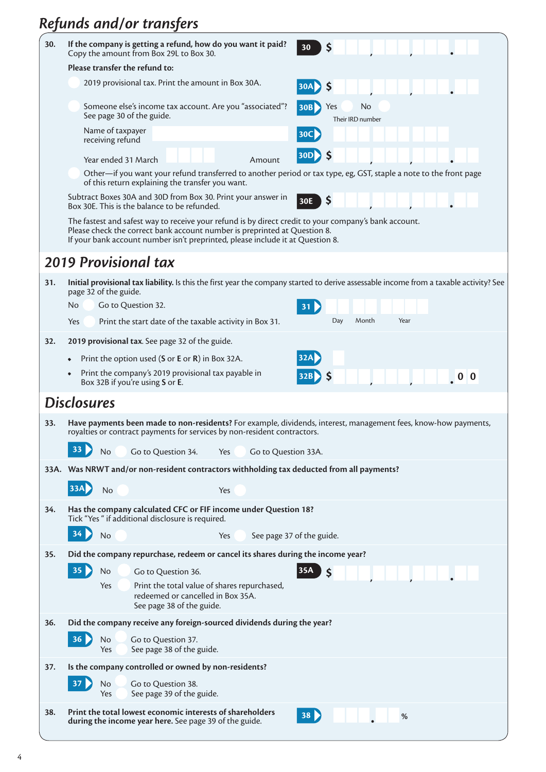# *Refunds and/or transfers*

| 30. | If the company is getting a refund, how do you want it paid?<br>30<br>Copy the amount from Box 29L to Box 30.                                                                                                                                                        |  |  |  |  |  |  |
|-----|----------------------------------------------------------------------------------------------------------------------------------------------------------------------------------------------------------------------------------------------------------------------|--|--|--|--|--|--|
|     | Please transfer the refund to:                                                                                                                                                                                                                                       |  |  |  |  |  |  |
|     | 2019 provisional tax. Print the amount in Box 30A.<br>$ 30A\rangle$<br><b>S</b>                                                                                                                                                                                      |  |  |  |  |  |  |
|     | Someone else's income tax account. Are you "associated"?<br><b>30B</b><br>Yes<br>No<br>See page 30 of the guide.<br>Their IRD number                                                                                                                                 |  |  |  |  |  |  |
|     | Name of taxpayer<br> 30C <br>receiving refund                                                                                                                                                                                                                        |  |  |  |  |  |  |
|     | $ 30D\rangle$<br>Year ended 31 March<br>Amount                                                                                                                                                                                                                       |  |  |  |  |  |  |
|     | Other—if you want your refund transferred to another period or tax type, eg, GST, staple a note to the front page<br>of this return explaining the transfer you want.                                                                                                |  |  |  |  |  |  |
|     | Subtract Boxes 30A and 30D from Box 30. Print your answer in<br>\$<br>30E<br>Box 30E. This is the balance to be refunded.                                                                                                                                            |  |  |  |  |  |  |
|     | The fastest and safest way to receive your refund is by direct credit to your company's bank account.<br>Please check the correct bank account number is preprinted at Question 8.<br>If your bank account number isn't preprinted, please include it at Question 8. |  |  |  |  |  |  |
|     | <b>2019 Provisional tax</b>                                                                                                                                                                                                                                          |  |  |  |  |  |  |
| 31. | Initial provisional tax liability. Is this the first year the company started to derive assessable income from a taxable activity? See<br>page 32 of the guide.                                                                                                      |  |  |  |  |  |  |
|     | <b>No</b><br>Go to Question 32.<br>31                                                                                                                                                                                                                                |  |  |  |  |  |  |
|     | Day<br>Month<br>Year<br>Yes<br>Print the start date of the taxable activity in Box 31.                                                                                                                                                                               |  |  |  |  |  |  |
| 32. | 2019 provisional tax. See page 32 of the guide.                                                                                                                                                                                                                      |  |  |  |  |  |  |
|     | Print the option used (S or E or R) in Box 32A.                                                                                                                                                                                                                      |  |  |  |  |  |  |
|     | Print the company's 2019 provisional tax payable in<br>Box 32B if you're using S or E.                                                                                                                                                                               |  |  |  |  |  |  |
|     | <b>Disclosures</b>                                                                                                                                                                                                                                                   |  |  |  |  |  |  |
| 33. | Have payments been made to non-residents? For example, dividends, interest, management fees, know-how payments,<br>royalties or contract payments for services by non-resident contractors.                                                                          |  |  |  |  |  |  |
|     | 33<br>No<br>Go to Question 34.<br>Go to Question 33A.<br>Yes                                                                                                                                                                                                         |  |  |  |  |  |  |
|     | 33A. Was NRWT and/or non-resident contractors withholding tax deducted from all payments?                                                                                                                                                                            |  |  |  |  |  |  |
|     | <b>33A</b><br>No<br>Yes                                                                                                                                                                                                                                              |  |  |  |  |  |  |
| 34. | Has the company calculated CFC or FIF income under Question 18?<br>Tick "Yes " if additional disclosure is required.                                                                                                                                                 |  |  |  |  |  |  |
|     | 34<br>No<br>Yes<br>See page 37 of the guide.                                                                                                                                                                                                                         |  |  |  |  |  |  |
| 35. | Did the company repurchase, redeem or cancel its shares during the income year?                                                                                                                                                                                      |  |  |  |  |  |  |
|     | 35 <sub>o</sub><br>35A<br>No<br>$\mathsf{\hat{S}}$<br>Go to Question 36.                                                                                                                                                                                             |  |  |  |  |  |  |
|     | Yes<br>Print the total value of shares repurchased,<br>redeemed or cancelled in Box 35A.<br>See page 38 of the guide.                                                                                                                                                |  |  |  |  |  |  |
| 36. | Did the company receive any foreign-sourced dividends during the year?                                                                                                                                                                                               |  |  |  |  |  |  |
|     | 36 <sub>b</sub><br>No<br>Go to Question 37.<br>See page 38 of the guide.<br>Yes                                                                                                                                                                                      |  |  |  |  |  |  |
| 37. | Is the company controlled or owned by non-residents?                                                                                                                                                                                                                 |  |  |  |  |  |  |
|     | 37<br>No<br>Go to Question 38.<br>See page 39 of the guide.<br>Yes                                                                                                                                                                                                   |  |  |  |  |  |  |
| 38. | Print the total lowest economic interests of shareholders<br>38<br>$\%$<br>during the income year here. See page 39 of the guide.                                                                                                                                    |  |  |  |  |  |  |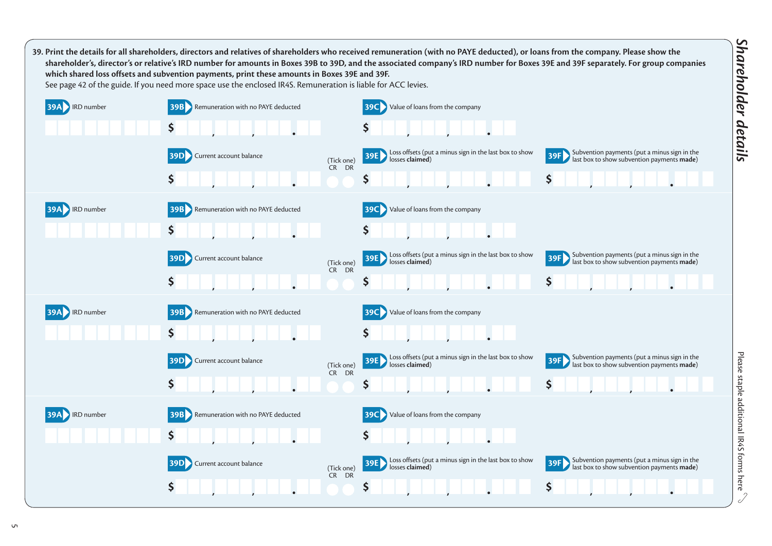